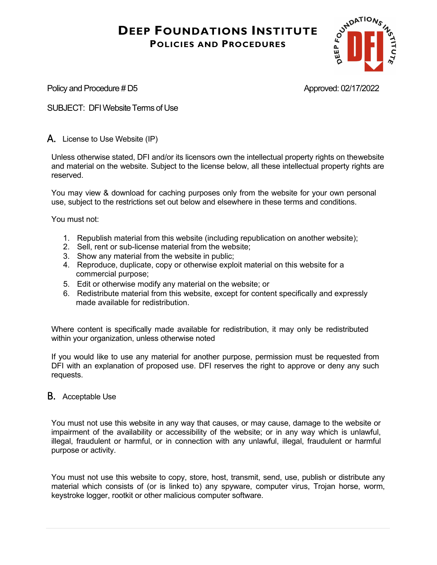

Policy and Procedure # D5 Approved: 02/17/2022

SUBJECT: DFIWebsiteTerms of Use

A. License to Use Website (IP)

Unless otherwise stated, DFI and/or its licensors own the intellectual property rights on thewebsite and material on the website. Subject to the license below, all these intellectual property rights are reserved.

You may view & download for caching purposes only from the website for your own personal use, subject to the restrictions set out below and elsewhere in these terms and conditions.

You must not:

- 1. Republish material from this website (including republication on another website);
- 2. Sell, rent or sub-license material from the website;
- 3. Show any material from the website in public;
- 4. Reproduce, duplicate, copy or otherwise exploit material on this website for a commercial purpose;
- 5. Edit or otherwise modify any material on the website; or
- 6. Redistribute material from this website, except for content specifically and expressly made available for redistribution.

Where content is specifically made available for redistribution, it may only be redistributed within your organization, unless otherwise noted

If you would like to use any material for another purpose, permission must be requested from DFI with an explanation of proposed use. DFI reserves the right to approve or deny any such requests.

### B. Acceptable Use

You must not use this website in any way that causes, or may cause, damage to the website or impairment of the availability or accessibility of the website; or in any way which is unlawful, illegal, fraudulent or harmful, or in connection with any unlawful, illegal, fraudulent or harmful purpose or activity.

You must not use this website to copy, store, host, transmit, send, use, publish or distribute any material which consists of (or is linked to) any spyware, computer virus, Trojan horse, worm, keystroke logger, rootkit or other malicious computer software.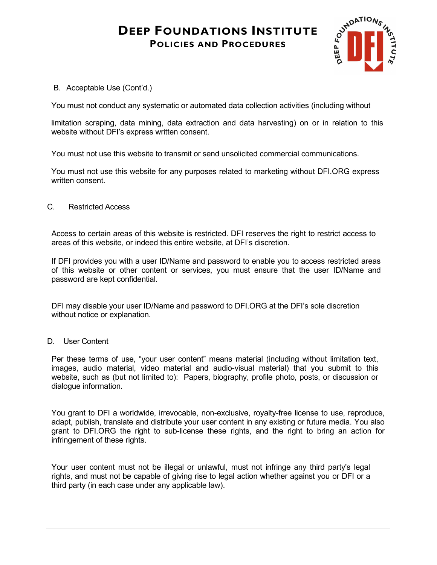

B. Acceptable Use (Cont'd.)

You must not conduct any systematic or automated data collection activities (including without

limitation scraping, data mining, data extraction and data harvesting) on or in relation to this website without DFI's express written consent.

You must not use this website to transmit or send unsolicited commercial communications.

You must not use this website for any purposes related to marketing without DFI.ORG express written consent.

#### C. Restricted Access

Access to certain areas of this website is restricted. DFI reserves the right to restrict access to areas of this website, or indeed this entire website, at DFI's discretion.

If DFI provides you with a user ID/Name and password to enable you to access restricted areas of this website or other content or services, you must ensure that the user ID/Name and password are kept confidential.

DFI may disable your user ID/Name and password to DFI.ORG at the DFI's sole discretion without notice or explanation.

#### D. User Content

Per these terms of use, "your user content" means material (including without limitation text, images, audio material, video material and audio-visual material) that you submit to this website, such as (but not limited to): Papers, biography, profile photo, posts, or discussion or dialogue information.

You grant to DFI a worldwide, irrevocable, non-exclusive, royalty-free license to use, reproduce, adapt, publish, translate and distribute your user content in any existing or future media. You also grant to DFI.ORG the right to sub-license these rights, and the right to bring an action for infringement of these rights.

Your user content must not be illegal or unlawful, must not infringe any third party's legal rights, and must not be capable of giving rise to legal action whether against you or DFI or a third party (in each case under any applicable law).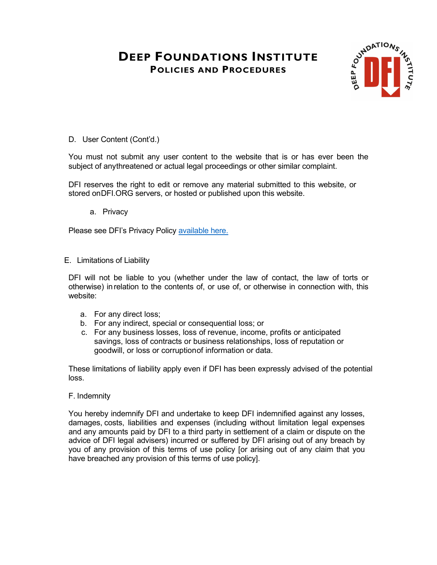

D. User Content (Cont'd.)

You must not submit any user content to the website that is or has ever been the subject of anythreatened or actual legal proceedings or other similar complaint.

DFI reserves the right to edit or remove any material submitted to this website, or stored onDFI.ORG servers, or hosted or published upon this website.

a. Privacy

Please see DFI's Privacy Policy [available](https://www.dfi.org/dfi-privacy-policy) here.

#### E. Limitations of Liability

DFI will not be liable to you (whether under the law of contact, the law of torts or otherwise) inrelation to the contents of, or use of, or otherwise in connection with, this website:

- a. For any direct loss;
- b. For any indirect, special or consequential loss; or
- c. For any business losses, loss of revenue, income, profits or anticipated savings, loss of contracts or business relationships, loss of reputation or goodwill, or loss or corruptionof information or data.

These limitations of liability apply even if DFI has been expressly advised of the potential loss.

#### F. Indemnity

You hereby indemnify DFI and undertake to keep DFI indemnified against any losses, damages, costs, liabilities and expenses (including without limitation legal expenses and any amounts paid by DFI to a third party in settlement of a claim or dispute on the advice of DFI legal advisers) incurred or suffered by DFI arising out of any breach by you of any provision of this terms of use policy [or arising out of any claim that you have breached any provision of this terms of use policy].